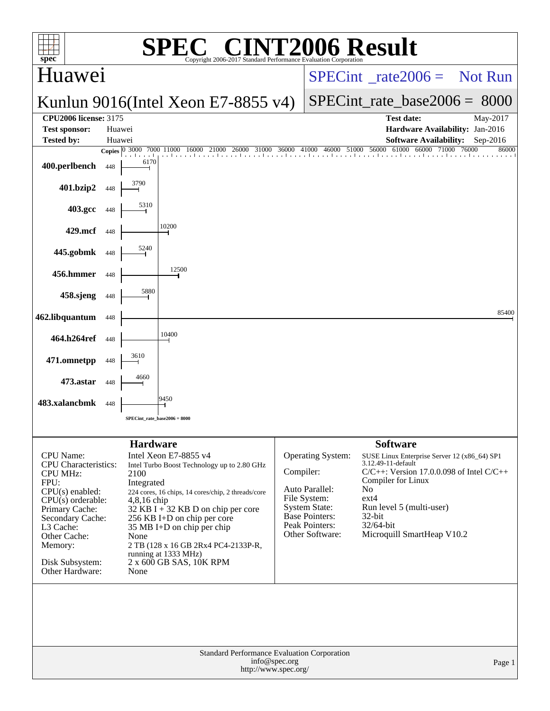|                                                                                                                                                                                                                            |                  |                                                                        | $\bigwedge$                                                                                                                                                                                                                                                                                                               |               |                                                                                                                                    | 06 Result                                                                                                                                                                                                                                                               |          |
|----------------------------------------------------------------------------------------------------------------------------------------------------------------------------------------------------------------------------|------------------|------------------------------------------------------------------------|---------------------------------------------------------------------------------------------------------------------------------------------------------------------------------------------------------------------------------------------------------------------------------------------------------------------------|---------------|------------------------------------------------------------------------------------------------------------------------------------|-------------------------------------------------------------------------------------------------------------------------------------------------------------------------------------------------------------------------------------------------------------------------|----------|
| $spec^*$                                                                                                                                                                                                                   |                  |                                                                        | Copyright 2006-2017 Standard Performance Evaluation Corporation                                                                                                                                                                                                                                                           |               |                                                                                                                                    |                                                                                                                                                                                                                                                                         |          |
| Huawei                                                                                                                                                                                                                     |                  |                                                                        |                                                                                                                                                                                                                                                                                                                           |               | $SPECint^{\circ}$ rate $2006 =$ Not Run                                                                                            |                                                                                                                                                                                                                                                                         |          |
|                                                                                                                                                                                                                            |                  |                                                                        | Kunlun 9016(Intel Xeon E7-8855 v4)                                                                                                                                                                                                                                                                                        |               |                                                                                                                                    | $SPECint_rate_base2006 = 8000$                                                                                                                                                                                                                                          |          |
| <b>CPU2006 license: 3175</b>                                                                                                                                                                                               |                  |                                                                        |                                                                                                                                                                                                                                                                                                                           |               |                                                                                                                                    | <b>Test date:</b>                                                                                                                                                                                                                                                       | May-2017 |
| <b>Test sponsor:</b><br><b>Tested by:</b>                                                                                                                                                                                  | Huawei<br>Huawei |                                                                        |                                                                                                                                                                                                                                                                                                                           |               |                                                                                                                                    | Hardware Availability: Jan-2016<br><b>Software Availability:</b>                                                                                                                                                                                                        | Sep-2016 |
|                                                                                                                                                                                                                            |                  |                                                                        | Copies 0 3000 7000 11000 16000 21000 26000 31000 36000 41000 46000 51000 56000 61000 66000 71000 76000                                                                                                                                                                                                                    |               |                                                                                                                                    |                                                                                                                                                                                                                                                                         | 86000    |
| 400.perlbench                                                                                                                                                                                                              | 448              | 6170                                                                   |                                                                                                                                                                                                                                                                                                                           |               |                                                                                                                                    |                                                                                                                                                                                                                                                                         |          |
| 401.bzip2                                                                                                                                                                                                                  | 448              |                                                                        |                                                                                                                                                                                                                                                                                                                           |               |                                                                                                                                    |                                                                                                                                                                                                                                                                         |          |
| 403.gcc                                                                                                                                                                                                                    | 448              | 5310                                                                   |                                                                                                                                                                                                                                                                                                                           |               |                                                                                                                                    |                                                                                                                                                                                                                                                                         |          |
| 429.mcf                                                                                                                                                                                                                    | 448              |                                                                        | 10200                                                                                                                                                                                                                                                                                                                     |               |                                                                                                                                    |                                                                                                                                                                                                                                                                         |          |
| 445.gobmk                                                                                                                                                                                                                  | 448              | 5240                                                                   |                                                                                                                                                                                                                                                                                                                           |               |                                                                                                                                    |                                                                                                                                                                                                                                                                         |          |
| 456.hmmer                                                                                                                                                                                                                  | 448              |                                                                        | 12500                                                                                                                                                                                                                                                                                                                     |               |                                                                                                                                    |                                                                                                                                                                                                                                                                         |          |
| 458.sjeng                                                                                                                                                                                                                  | 448              | 5880                                                                   |                                                                                                                                                                                                                                                                                                                           |               |                                                                                                                                    |                                                                                                                                                                                                                                                                         |          |
| 462.libquantum                                                                                                                                                                                                             | 448              |                                                                        |                                                                                                                                                                                                                                                                                                                           |               |                                                                                                                                    |                                                                                                                                                                                                                                                                         | 85400    |
| 464.h264ref                                                                                                                                                                                                                | 448              |                                                                        | 10400                                                                                                                                                                                                                                                                                                                     |               |                                                                                                                                    |                                                                                                                                                                                                                                                                         |          |
| 471.omnetpp                                                                                                                                                                                                                | 448              | 3610                                                                   |                                                                                                                                                                                                                                                                                                                           |               |                                                                                                                                    |                                                                                                                                                                                                                                                                         |          |
| 473.astar                                                                                                                                                                                                                  | 448              | 4660                                                                   |                                                                                                                                                                                                                                                                                                                           |               |                                                                                                                                    |                                                                                                                                                                                                                                                                         |          |
| 483.xalancbmk                                                                                                                                                                                                              | 448              |                                                                        | 9450                                                                                                                                                                                                                                                                                                                      |               |                                                                                                                                    |                                                                                                                                                                                                                                                                         |          |
|                                                                                                                                                                                                                            |                  | SPECint rate base $2006 = 8000$                                        |                                                                                                                                                                                                                                                                                                                           |               |                                                                                                                                    |                                                                                                                                                                                                                                                                         |          |
|                                                                                                                                                                                                                            |                  |                                                                        |                                                                                                                                                                                                                                                                                                                           |               |                                                                                                                                    |                                                                                                                                                                                                                                                                         |          |
| CPU Name:<br>CPU Characteristics:<br><b>CPU MHz:</b><br>FPU:<br>CPU(s) enabled:<br>$CPU(s)$ orderable:<br>Primary Cache:<br>Secondary Cache:<br>L3 Cache:<br>Other Cache:<br>Memory:<br>Disk Subsystem:<br>Other Hardware: |                  | <b>Hardware</b><br>2100<br>Integrated<br>$4,8,16$ chip<br>None<br>None | Intel Xeon E7-8855 v4<br>Intel Turbo Boost Technology up to 2.80 GHz<br>224 cores, 16 chips, 14 cores/chip, 2 threads/core<br>$32$ KB I + 32 KB D on chip per core<br>256 KB I+D on chip per core<br>35 MB I+D on chip per chip<br>2 TB (128 x 16 GB 2Rx4 PC4-2133P-R,<br>running at 1333 MHz)<br>2 x 600 GB SAS, 10K RPM | Compiler:     | Operating System:<br>Auto Parallel:<br>File System:<br><b>System State:</b><br>Base Pointers:<br>Peak Pointers:<br>Other Software: | <b>Software</b><br>SUSE Linux Enterprise Server 12 (x86_64) SP1<br>3.12.49-11-default<br>$C/C++$ : Version 17.0.0.098 of Intel $C/C++$<br>Compiler for Linux<br>N <sub>o</sub><br>ext4<br>Run level 5 (multi-user)<br>32-bit<br>32/64-bit<br>Microquill SmartHeap V10.2 |          |
|                                                                                                                                                                                                                            |                  |                                                                        | <b>Standard Performance Evaluation Corporation</b>                                                                                                                                                                                                                                                                        |               |                                                                                                                                    |                                                                                                                                                                                                                                                                         |          |
|                                                                                                                                                                                                                            |                  |                                                                        | http://www.spec.org/                                                                                                                                                                                                                                                                                                      | info@spec.org |                                                                                                                                    |                                                                                                                                                                                                                                                                         | Page 1   |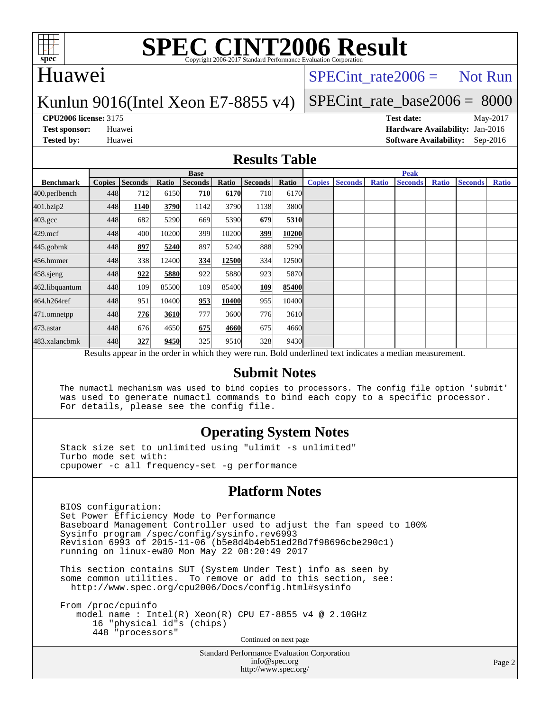

# Huawei

### $SPECTnt_rate2006 = Not Run$

### Kunlun 9016(Intel Xeon E7-8855 v4)

# [SPECint\\_rate\\_base2006 =](http://www.spec.org/auto/cpu2006/Docs/result-fields.html#SPECintratebase2006) 8000

**[CPU2006 license:](http://www.spec.org/auto/cpu2006/Docs/result-fields.html#CPU2006license)** 3175 **[Test date:](http://www.spec.org/auto/cpu2006/Docs/result-fields.html#Testdate)** May-2017 **[Test sponsor:](http://www.spec.org/auto/cpu2006/Docs/result-fields.html#Testsponsor)** Huawei **[Hardware Availability:](http://www.spec.org/auto/cpu2006/Docs/result-fields.html#HardwareAvailability)** Jan-2016 **[Tested by:](http://www.spec.org/auto/cpu2006/Docs/result-fields.html#Testedby)** Huawei **[Software Availability:](http://www.spec.org/auto/cpu2006/Docs/result-fields.html#SoftwareAvailability)** Sep-2016

### **[Results Table](http://www.spec.org/auto/cpu2006/Docs/result-fields.html#ResultsTable)**

|                                                                                                          | <b>Base</b>   |                |       |                |       |                |       | <b>Peak</b>   |                |              |                |              |                |              |
|----------------------------------------------------------------------------------------------------------|---------------|----------------|-------|----------------|-------|----------------|-------|---------------|----------------|--------------|----------------|--------------|----------------|--------------|
| <b>Benchmark</b>                                                                                         | <b>Copies</b> | <b>Seconds</b> | Ratio | <b>Seconds</b> | Ratio | <b>Seconds</b> | Ratio | <b>Copies</b> | <b>Seconds</b> | <b>Ratio</b> | <b>Seconds</b> | <b>Ratio</b> | <b>Seconds</b> | <b>Ratio</b> |
| 400.perlbench                                                                                            | 448           | 712            | 6150  | 710            | 6170  | 710            | 6170  |               |                |              |                |              |                |              |
| 401.bzip2                                                                                                | 448           | 1140           | 3790  | 1142           | 3790  | 1138           | 3800  |               |                |              |                |              |                |              |
| $403.\text{gcc}$                                                                                         | 448           | 682            | 5290  | 669            | 5390  | 679            | 5310  |               |                |              |                |              |                |              |
| $429$ .mcf                                                                                               | 448           | 400            | 10200 | 399            | 10200 | 399            | 10200 |               |                |              |                |              |                |              |
| $445$ .gobmk                                                                                             | 448           | 897            | 5240  | 897            | 5240  | 888            | 5290  |               |                |              |                |              |                |              |
| 456.hmmer                                                                                                | 448           | 338            | 12400 | 334            | 12500 | 334            | 12500 |               |                |              |                |              |                |              |
| $458$ .sjeng                                                                                             | 448           | 922            | 5880  | 922            | 5880  | 923            | 5870  |               |                |              |                |              |                |              |
| 462.libquantum                                                                                           | 448           | 109            | 85500 | 109            | 85400 | 109            | 85400 |               |                |              |                |              |                |              |
| 464.h264ref                                                                                              | 448           | 951            | 10400 | 953            | 10400 | 955            | 10400 |               |                |              |                |              |                |              |
| 471.omnetpp                                                                                              | 448           | 776            | 3610  | 777            | 3600  | 776            | 3610  |               |                |              |                |              |                |              |
| 473.astar                                                                                                | 448           | 676            | 4650  | 675            | 4660  | 675            | 4660  |               |                |              |                |              |                |              |
| 483.xalancbmk                                                                                            | 448           | 327            | 9450  | 325            | 9510  | 328            | 9430  |               |                |              |                |              |                |              |
| Results appear in the order in which they were run. Bold underlined text indicates a median measurement. |               |                |       |                |       |                |       |               |                |              |                |              |                |              |

### **[Submit Notes](http://www.spec.org/auto/cpu2006/Docs/result-fields.html#SubmitNotes)**

 The numactl mechanism was used to bind copies to processors. The config file option 'submit' was used to generate numactl commands to bind each copy to a specific processor. For details, please see the config file.

### **[Operating System Notes](http://www.spec.org/auto/cpu2006/Docs/result-fields.html#OperatingSystemNotes)**

 Stack size set to unlimited using "ulimit -s unlimited" Turbo mode set with: cpupower -c all frequency-set -g performance

### **[Platform Notes](http://www.spec.org/auto/cpu2006/Docs/result-fields.html#PlatformNotes)**

 BIOS configuration: Set Power Efficiency Mode to Performance Baseboard Management Controller used to adjust the fan speed to 100% Sysinfo program /spec/config/sysinfo.rev6993 Revision 6993 of 2015-11-06 (b5e8d4b4eb51ed28d7f98696cbe290c1) running on linux-ew80 Mon May 22 08:20:49 2017

 This section contains SUT (System Under Test) info as seen by some common utilities. To remove or add to this section, see: <http://www.spec.org/cpu2006/Docs/config.html#sysinfo>

 From /proc/cpuinfo model name : Intel(R) Xeon(R) CPU E7-8855 v4 @ 2.10GHz 16 "physical id"s (chips) 448 "processors" Continued on next page

> Standard Performance Evaluation Corporation [info@spec.org](mailto:info@spec.org) <http://www.spec.org/>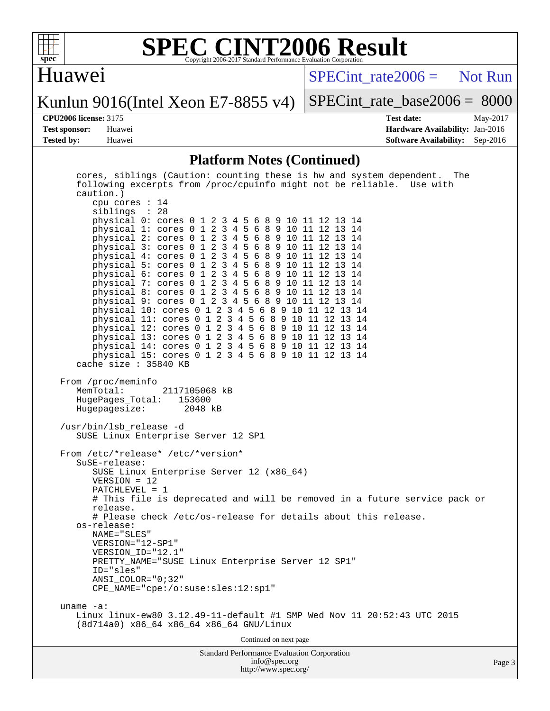

# Huawei

 $SPECTnt_rate2006 = Not Run$ 

Kunlun 9016(Intel Xeon E7-8855 v4)

[SPECint\\_rate\\_base2006 =](http://www.spec.org/auto/cpu2006/Docs/result-fields.html#SPECintratebase2006) 8000

**[CPU2006 license:](http://www.spec.org/auto/cpu2006/Docs/result-fields.html#CPU2006license)** 3175 **[Test date:](http://www.spec.org/auto/cpu2006/Docs/result-fields.html#Testdate)** May-2017 **[Test sponsor:](http://www.spec.org/auto/cpu2006/Docs/result-fields.html#Testsponsor)** Huawei **[Hardware Availability:](http://www.spec.org/auto/cpu2006/Docs/result-fields.html#HardwareAvailability)** Jan-2016 **[Tested by:](http://www.spec.org/auto/cpu2006/Docs/result-fields.html#Testedby)** Huawei **[Software Availability:](http://www.spec.org/auto/cpu2006/Docs/result-fields.html#SoftwareAvailability)** Sep-2016

### **[Platform Notes \(Continued\)](http://www.spec.org/auto/cpu2006/Docs/result-fields.html#PlatformNotes)**

| cores, siblings (Caution: counting these is hw and system dependent. The<br>following excerpts from /proc/cpuinfo might not be reliable. Use with<br>caution.)<br>cpu cores $: 14$<br>siblings : 28<br>physical 0: cores 0 1 2 3 4 5 6 8 9 10 11 12 13 14<br>physical 1: cores 0 1 2 3 4 5 6 8 9 10 11 12 13 14<br>physical 2: cores 0 1 2 3 4 5 6 8 9 10 11 12 13 14<br>physical 3: cores 0 1 2 3 4 5 6 8 9 10 11 12 13 14<br>physical 4: cores 0 1 2 3 4 5 6 8 9 10 11 12 13 14<br>physical 5: cores 0 1 2 3 4 5 6 8 9 10 11 12 13 14<br>physical 6: cores 0 1 2 3 4 5 6 8 9 10 11 12 13 14<br>physical 7: cores 0 1 2 3 4 5 6 8 9 10 11 12 13 14<br>physical 8: cores 0 1 2 3 4 5 6 8 9 10 11 12 13 14<br>physical 9: cores 0 1 2 3 4 5 6 8 9 10 11 12 13 14<br>physical 10: cores 0 1 2 3 4 5 6 8 9 10 11 12 13 14<br>physical 11: cores 0 1 2 3 4 5 6 8 9 10 11 12 13 14<br>physical 12: cores 0 1 2 3 4 5 6 8 9 10 11 12 13 14<br>physical 13: cores 0 1 2 3 4 5 6 8 9 10 11 12 13 14<br>physical 14: cores 0 1 2 3 4 5 6 8 9 10 11 12 13 14<br>physical 15: cores 0 1 2 3 4 5 6 8 9 10 11 12 13 14<br>cache size $: 35840$ KB |    |
|--------------------------------------------------------------------------------------------------------------------------------------------------------------------------------------------------------------------------------------------------------------------------------------------------------------------------------------------------------------------------------------------------------------------------------------------------------------------------------------------------------------------------------------------------------------------------------------------------------------------------------------------------------------------------------------------------------------------------------------------------------------------------------------------------------------------------------------------------------------------------------------------------------------------------------------------------------------------------------------------------------------------------------------------------------------------------------------------------------------------------------------|----|
| From /proc/meminfo<br>MemTotal:<br>2117105068 kB<br>HugePages_Total: 153600<br>Hugepagesize: 2048 kB                                                                                                                                                                                                                                                                                                                                                                                                                                                                                                                                                                                                                                                                                                                                                                                                                                                                                                                                                                                                                                 |    |
| /usr/bin/lsb_release -d<br>SUSE Linux Enterprise Server 12 SP1                                                                                                                                                                                                                                                                                                                                                                                                                                                                                                                                                                                                                                                                                                                                                                                                                                                                                                                                                                                                                                                                       |    |
| From /etc/*release* /etc/*version*<br>$S$ uSE-release:<br>SUSE Linux Enterprise Server 12 (x86_64)<br>$VERSION = 12$<br>$PATCHLEVEL = 1$<br># This file is deprecated and will be removed in a future service pack or<br>release.<br># Please check /etc/os-release for details about this release.<br>os-release:<br>NAME="SLES"<br>VERSION="12-SP1"<br>VERSION ID="12.1"<br>PRETTY_NAME="SUSE Linux Enterprise Server 12 SP1"<br>$ID = "sles"$<br>ANSI COLOR="0;32"<br>CPE_NAME="cpe:/o:suse:sles:12:sp1"                                                                                                                                                                                                                                                                                                                                                                                                                                                                                                                                                                                                                          |    |
| uname $-a$ :<br>Linux linux-ew80 3.12.49-11-default #1 SMP Wed Nov 11 20:52:43 UTC 2015<br>(8d714a0) x86_64 x86_64 x86_64 GNU/Linux                                                                                                                                                                                                                                                                                                                                                                                                                                                                                                                                                                                                                                                                                                                                                                                                                                                                                                                                                                                                  |    |
| Continued on next page                                                                                                                                                                                                                                                                                                                                                                                                                                                                                                                                                                                                                                                                                                                                                                                                                                                                                                                                                                                                                                                                                                               |    |
| <b>Standard Performance Evaluation Corporation</b><br>info@spec.org<br>http://www.spec.org/                                                                                                                                                                                                                                                                                                                                                                                                                                                                                                                                                                                                                                                                                                                                                                                                                                                                                                                                                                                                                                          | Pa |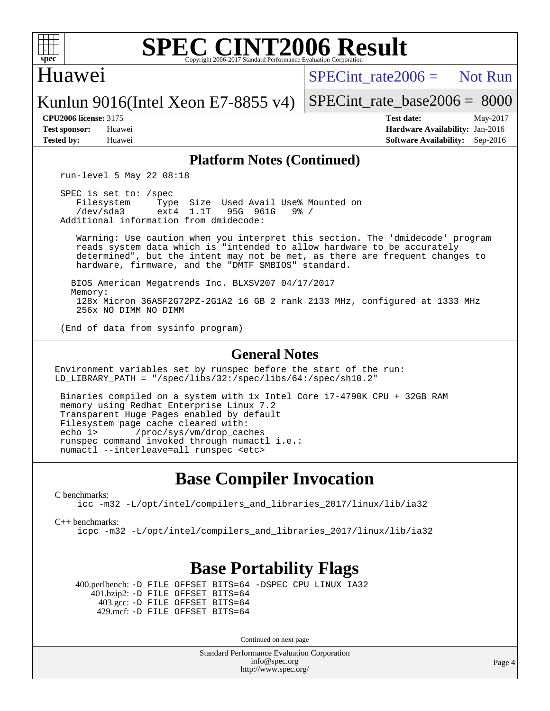

### Huawei

 $SPECint rate2006 =$  Not Run

Kunlun 9016(Intel Xeon E7-8855 v4)

[SPECint\\_rate\\_base2006 =](http://www.spec.org/auto/cpu2006/Docs/result-fields.html#SPECintratebase2006) 8000

**[CPU2006 license:](http://www.spec.org/auto/cpu2006/Docs/result-fields.html#CPU2006license)** 3175 **[Test date:](http://www.spec.org/auto/cpu2006/Docs/result-fields.html#Testdate)** May-2017 **[Test sponsor:](http://www.spec.org/auto/cpu2006/Docs/result-fields.html#Testsponsor)** Huawei **[Hardware Availability:](http://www.spec.org/auto/cpu2006/Docs/result-fields.html#HardwareAvailability)** Jan-2016 **[Tested by:](http://www.spec.org/auto/cpu2006/Docs/result-fields.html#Testedby)** Huawei **[Software Availability:](http://www.spec.org/auto/cpu2006/Docs/result-fields.html#SoftwareAvailability)** Sep-2016

### **[Platform Notes \(Continued\)](http://www.spec.org/auto/cpu2006/Docs/result-fields.html#PlatformNotes)**

run-level 5 May 22 08:18

 SPEC is set to: /spec Filesystem Type Size Used Avail Use% Mounted on<br>
/dev/sda3 ext4 1.1T 95G 961G 9% / 95G 961G Additional information from dmidecode:

 Warning: Use caution when you interpret this section. The 'dmidecode' program reads system data which is "intended to allow hardware to be accurately determined", but the intent may not be met, as there are frequent changes to hardware, firmware, and the "DMTF SMBIOS" standard.

 BIOS American Megatrends Inc. BLXSV207 04/17/2017 Memory: 128x Micron 36ASF2G72PZ-2G1A2 16 GB 2 rank 2133 MHz, configured at 1333 MHz 256x NO DIMM NO DIMM

(End of data from sysinfo program)

### **[General Notes](http://www.spec.org/auto/cpu2006/Docs/result-fields.html#GeneralNotes)**

Environment variables set by runspec before the start of the run: LD\_LIBRARY\_PATH = "/spec/libs/32:/spec/libs/64:/spec/sh10.2"

 Binaries compiled on a system with 1x Intel Core i7-4790K CPU + 32GB RAM memory using Redhat Enterprise Linux 7.2 Transparent Huge Pages enabled by default Filesystem page cache cleared with: echo 1> /proc/sys/vm/drop\_caches runspec command invoked through numactl i.e.: numactl --interleave=all runspec <etc>

# **[Base Compiler Invocation](http://www.spec.org/auto/cpu2006/Docs/result-fields.html#BaseCompilerInvocation)**

[C benchmarks](http://www.spec.org/auto/cpu2006/Docs/result-fields.html#Cbenchmarks):

[icc -m32 -L/opt/intel/compilers\\_and\\_libraries\\_2017/linux/lib/ia32](http://www.spec.org/cpu2006/results/res2017q4/cpu2006-20170918-50121.flags.html#user_CCbase_intel_icc_c29f3ff5a7ed067b11e4ec10a03f03ae)

[C++ benchmarks:](http://www.spec.org/auto/cpu2006/Docs/result-fields.html#CXXbenchmarks)

[icpc -m32 -L/opt/intel/compilers\\_and\\_libraries\\_2017/linux/lib/ia32](http://www.spec.org/cpu2006/results/res2017q4/cpu2006-20170918-50121.flags.html#user_CXXbase_intel_icpc_8c35c7808b62dab9ae41a1aa06361b6b)

# **[Base Portability Flags](http://www.spec.org/auto/cpu2006/Docs/result-fields.html#BasePortabilityFlags)**

 400.perlbench: [-D\\_FILE\\_OFFSET\\_BITS=64](http://www.spec.org/cpu2006/results/res2017q4/cpu2006-20170918-50121.flags.html#user_basePORTABILITY400_perlbench_file_offset_bits_64_438cf9856305ebd76870a2c6dc2689ab) [-DSPEC\\_CPU\\_LINUX\\_IA32](http://www.spec.org/cpu2006/results/res2017q4/cpu2006-20170918-50121.flags.html#b400.perlbench_baseCPORTABILITY_DSPEC_CPU_LINUX_IA32) 401.bzip2: [-D\\_FILE\\_OFFSET\\_BITS=64](http://www.spec.org/cpu2006/results/res2017q4/cpu2006-20170918-50121.flags.html#user_basePORTABILITY401_bzip2_file_offset_bits_64_438cf9856305ebd76870a2c6dc2689ab) 403.gcc: [-D\\_FILE\\_OFFSET\\_BITS=64](http://www.spec.org/cpu2006/results/res2017q4/cpu2006-20170918-50121.flags.html#user_basePORTABILITY403_gcc_file_offset_bits_64_438cf9856305ebd76870a2c6dc2689ab) 429.mcf: [-D\\_FILE\\_OFFSET\\_BITS=64](http://www.spec.org/cpu2006/results/res2017q4/cpu2006-20170918-50121.flags.html#user_basePORTABILITY429_mcf_file_offset_bits_64_438cf9856305ebd76870a2c6dc2689ab)

Continued on next page

Standard Performance Evaluation Corporation [info@spec.org](mailto:info@spec.org) <http://www.spec.org/>

Page 4